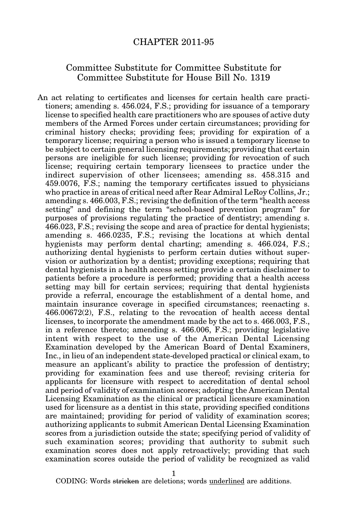## CHAPTER 2011-95

## Committee Substitute for Committee Substitute for Committee Substitute for House Bill No. 1319

An act relating to certificates and licenses for certain health care practitioners; amending s. 456.024, F.S.; providing for issuance of a temporary license to specified health care practitioners who are spouses of active duty members of the Armed Forces under certain circumstances; providing for criminal history checks; providing fees; providing for expiration of a temporary license; requiring a person who is issued a temporary license to be subject to certain general licensing requirements; providing that certain persons are ineligible for such license; providing for revocation of such license; requiring certain temporary licensees to practice under the indirect supervision of other licensees; amending ss. 458.315 and 459.0076, F.S.; naming the temporary certificates issued to physicians who practice in areas of critical need after Rear Admiral LeRoy Collins, Jr.; amending s. 466.003, F.S.; revising the definition of the term "health access setting" and defining the term "school-based prevention program" for purposes of provisions regulating the practice of dentistry; amending s. 466.023, F.S.; revising the scope and area of practice for dental hygienists; amending s. 466.0235, F.S.; revising the locations at which dental hygienists may perform dental charting; amending s. 466.024, F.S.; authorizing dental hygienists to perform certain duties without supervision or authorization by a dentist; providing exceptions; requiring that dental hygienists in a health access setting provide a certain disclaimer to patients before a procedure is performed; providing that a health access setting may bill for certain services; requiring that dental hygienists provide a referral, encourage the establishment of a dental home, and maintain insurance coverage in specified circumstances; reenacting s. 466.00672(2), F.S., relating to the revocation of health access dental licenses, to incorporate the amendment made by the act to s. 466.003, F.S., in a reference thereto; amending s. 466.006, F.S.; providing legislative intent with respect to the use of the American Dental Licensing Examination developed by the American Board of Dental Examiners, Inc., in lieu of an independent state-developed practical or clinical exam, to measure an applicant's ability to practice the profession of dentistry; providing for examination fees and use thereof; revising criteria for applicants for licensure with respect to accreditation of dental school and period of validity of examination scores; adopting the American Dental Licensing Examination as the clinical or practical licensure examination used for licensure as a dentist in this state, providing specified conditions are maintained; providing for period of validity of examination scores; authorizing applicants to submit American Dental Licensing Examination scores from a jurisdiction outside the state; specifying period of validity of such examination scores; providing that authority to submit such examination scores does not apply retroactively; providing that such examination scores outside the period of validity be recognized as valid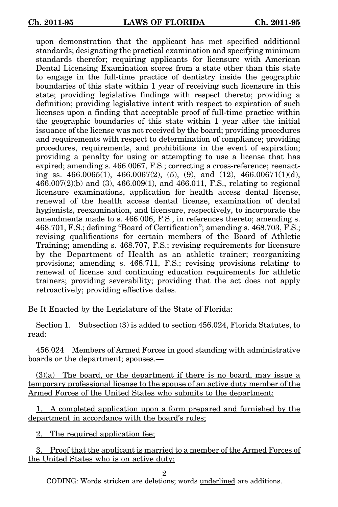upon demonstration that the applicant has met specified additional standards; designating the practical examination and specifying minimum standards therefor; requiring applicants for licensure with American Dental Licensing Examination scores from a state other than this state to engage in the full-time practice of dentistry inside the geographic boundaries of this state within 1 year of receiving such licensure in this state; providing legislative findings with respect thereto; providing a definition; providing legislative intent with respect to expiration of such licenses upon a finding that acceptable proof of full-time practice within the geographic boundaries of this state within 1 year after the initial issuance of the license was not received by the board; providing procedures and requirements with respect to determination of compliance; providing procedures, requirements, and prohibitions in the event of expiration; providing a penalty for using or attempting to use a license that has expired; amending s. 466.0067, F.S.; correcting a cross-reference; reenacting ss.  $466.0065(1)$ ,  $466.0067(2)$ ,  $(5)$ ,  $(9)$ , and  $(12)$ ,  $466.00671(1)(d)$ , 466.007(2)(b) and (3), 466.009(1), and 466.011, F.S., relating to regional licensure examinations, application for health access dental license, renewal of the health access dental license, examination of dental hygienists, reexamination, and licensure, respectively, to incorporate the amendments made to s. 466.006, F.S., in references thereto; amending s. 468.701, F.S.; defining "Board of Certification"; amending s. 468.703, F.S.; revising qualifications for certain members of the Board of Athletic Training; amending s. 468.707, F.S.; revising requirements for licensure by the Department of Health as an athletic trainer; reorganizing provisions; amending s. 468.711, F.S.; revising provisions relating to renewal of license and continuing education requirements for athletic trainers; providing severability; providing that the act does not apply retroactively; providing effective dates.

Be It Enacted by the Legislature of the State of Florida:

Section 1. Subsection (3) is added to section 456.024, Florida Statutes, to read:

456.024 Members of Armed Forces in good standing with administrative boards or the department; spouses.—

(3)(a) The board, or the department if there is no board, may issue a temporary professional license to the spouse of an active duty member of the Armed Forces of the United States who submits to the department:

1. A completed application upon a form prepared and furnished by the department in accordance with the board's rules;

2. The required application fee;

3. Proof that the applicant is married to a member of the Armed Forces of the United States who is on active duty;

2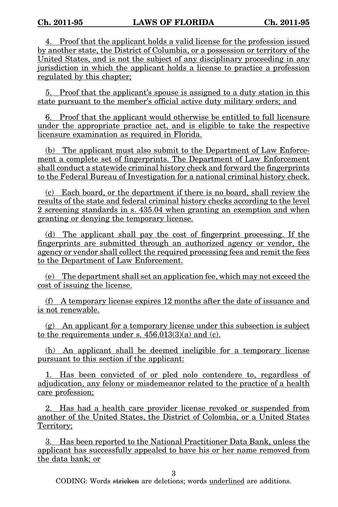4. Proof that the applicant holds a valid license for the profession issued by another state, the District of Columbia, or a possession or territory of the United States, and is not the subject of any disciplinary proceeding in any jurisdiction in which the applicant holds a license to practice a profession regulated by this chapter;

5. Proof that the applicant's spouse is assigned to a duty station in this state pursuant to the member's official active duty military orders; and

6. Proof that the applicant would otherwise be entitled to full licensure under the appropriate practice act, and is eligible to take the respective licensure examination as required in Florida.

(b) The applicant must also submit to the Department of Law Enforcement a complete set of fingerprints. The Department of Law Enforcement shall conduct a statewide criminal history check and forward the fingerprints to the Federal Bureau of Investigation for a national criminal history check.

(c) Each board, or the department if there is no board, shall review the results of the state and federal criminal history checks according to the level 2 screening standards in s. 435.04 when granting an exemption and when granting or denying the temporary license.

(d) The applicant shall pay the cost of fingerprint processing. If the fingerprints are submitted through an authorized agency or vendor, the agency or vendor shall collect the required processing fees and remit the fees to the Department of Law Enforcement.

(e) The department shall set an application fee, which may not exceed the cost of issuing the license.

(f) A temporary license expires 12 months after the date of issuance and is not renewable.

 $(g)$  An applicant for a temporary license under this subsection is subject to the requirements under s.  $456.013(3)(a)$  and (c).

(h) An applicant shall be deemed ineligible for a temporary license pursuant to this section if the applicant:

1. Has been convicted of or pled nolo contendere to, regardless of adjudication, any felony or misdemeanor related to the practice of a health care profession;

2. Has had a health care provider license revoked or suspended from another of the United States, the District of Colombia, or a United States Territory;

3. Has been reported to the National Practitioner Data Bank, unless the applicant has successfully appealed to have his or her name removed from the data bank; or

3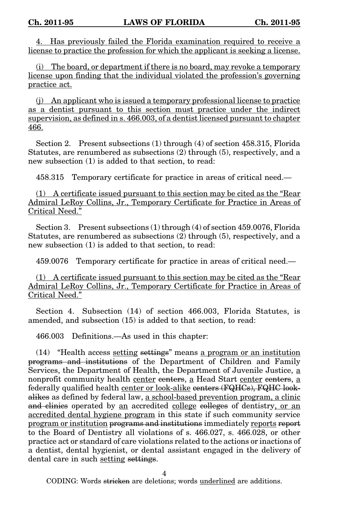4. Has previously failed the Florida examination required to receive a license to practice the profession for which the applicant is seeking a license.

(i) The board, or department if there is no board, may revoke a temporary license upon finding that the individual violated the profession's governing practice act.

(j) An applicant who is issued a temporary professional license to practice as a dentist pursuant to this section must practice under the indirect supervision, as defined in s. 466.003, of a dentist licensed pursuant to chapter 466.

Section 2. Present subsections (1) through (4) of section 458.315, Florida Statutes, are renumbered as subsections (2) through (5), respectively, and a new subsection (1) is added to that section, to read:

458.315 Temporary certificate for practice in areas of critical need.—

(1) A certificate issued pursuant to this section may be cited as the "Rear Admiral LeRoy Collins, Jr., Temporary Certificate for Practice in Areas of Critical Need."

Section 3. Present subsections (1) through (4) of section 459.0076, Florida Statutes, are renumbered as subsections (2) through (5), respectively, and a new subsection (1) is added to that section, to read:

459.0076 Temporary certificate for practice in areas of critical need.—

(1) A certificate issued pursuant to this section may be cited as the "Rear Admiral LeRoy Collins, Jr., Temporary Certificate for Practice in Areas of Critical Need."

Section 4. Subsection (14) of section 466.003, Florida Statutes, is amended, and subsection (15) is added to that section, to read:

466.003 Definitions.—As used in this chapter:

(14) "Health access setting settings" means a program or an institution programs and institutions of the Department of Children and Family Services, the Department of Health, the Department of Juvenile Justice, a nonprofit community health center centers, a Head Start center centers, a federally qualified health center or look-alike centers (FQHCs), FQHC lookalikes as defined by federal law, a school-based prevention program, a clinic and clinics operated by an accredited college colleges of dentistry, or an accredited dental hygiene program in this state if such community service program or institution programs and institutions immediately reports report to the Board of Dentistry all violations of s. 466.027, s. 466.028, or other practice act or standard of care violations related to the actions or inactions of a dentist, dental hygienist, or dental assistant engaged in the delivery of dental care in such setting settings.

4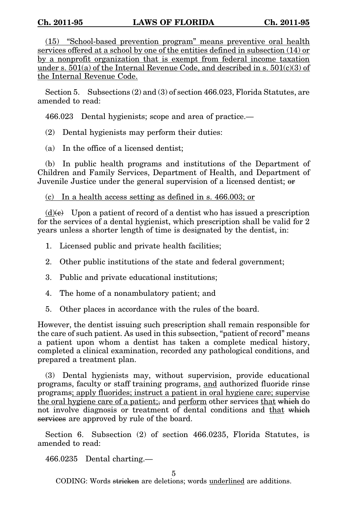(15) "School-based prevention program" means preventive oral health services offered at a school by one of the entities defined in subsection (14) or by a nonprofit organization that is exempt from federal income taxation under s.  $501(a)$  of the Internal Revenue Code, and described in s.  $501(c)(3)$  of the Internal Revenue Code.

Section 5. Subsections (2) and (3) of section 466.023, Florida Statutes, are amended to read:

466.023 Dental hygienists; scope and area of practice.—

(2) Dental hygienists may perform their duties:

(a) In the office of a licensed dentist;

(b) In public health programs and institutions of the Department of Children and Family Services, Department of Health, and Department of Juvenile Justice under the general supervision of a licensed dentist; or

(c) In a health access setting as defined in s. 466.003; or

 $(d)(e)$  Upon a patient of record of a dentist who has issued a prescription for the services of a dental hygienist, which prescription shall be valid for 2 years unless a shorter length of time is designated by the dentist, in:

1. Licensed public and private health facilities;

- 2. Other public institutions of the state and federal government;
- 3. Public and private educational institutions;
- 4. The home of a nonambulatory patient; and
- 5. Other places in accordance with the rules of the board.

However, the dentist issuing such prescription shall remain responsible for the care of such patient. As used in this subsection, "patient of record" means a patient upon whom a dentist has taken a complete medical history, completed a clinical examination, recorded any pathological conditions, and prepared a treatment plan.

(3) Dental hygienists may, without supervision, provide educational programs, faculty or staff training programs, and authorized fluoride rinse programs; apply fluorides; instruct a patient in oral hygiene care; supervise the oral hygiene care of a patient;, and perform other services that which do not involve diagnosis or treatment of dental conditions and that which services are approved by rule of the board.

Section 6. Subsection (2) of section 466.0235, Florida Statutes, is amended to read:

466.0235 Dental charting.—

5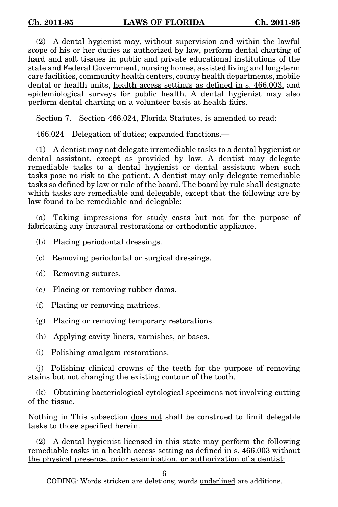(2) A dental hygienist may, without supervision and within the lawful scope of his or her duties as authorized by law, perform dental charting of hard and soft tissues in public and private educational institutions of the state and Federal Government, nursing homes, assisted living and long-term care facilities, community health centers, county health departments, mobile dental or health units, health access settings as defined in s. 466.003, and epidemiological surveys for public health. A dental hygienist may also perform dental charting on a volunteer basis at health fairs.

Section 7. Section 466.024, Florida Statutes, is amended to read:

466.024 Delegation of duties; expanded functions.—

(1) A dentist may not delegate irremediable tasks to a dental hygienist or dental assistant, except as provided by law. A dentist may delegate remediable tasks to a dental hygienist or dental assistant when such tasks pose no risk to the patient. A dentist may only delegate remediable tasks so defined by law or rule of the board. The board by rule shall designate which tasks are remediable and delegable, except that the following are by law found to be remediable and delegable:

(a) Taking impressions for study casts but not for the purpose of fabricating any intraoral restorations or orthodontic appliance.

(b) Placing periodontal dressings.

(c) Removing periodontal or surgical dressings.

(d) Removing sutures.

(e) Placing or removing rubber dams.

(f) Placing or removing matrices.

(g) Placing or removing temporary restorations.

(h) Applying cavity liners, varnishes, or bases.

(i) Polishing amalgam restorations.

(j) Polishing clinical crowns of the teeth for the purpose of removing stains but not changing the existing contour of the tooth.

(k) Obtaining bacteriological cytological specimens not involving cutting of the tissue.

Nothing in This subsection does not shall be construed to limit delegable tasks to those specified herein.

(2) A dental hygienist licensed in this state may perform the following remediable tasks in a health access setting as defined in s. 466.003 without the physical presence, prior examination, or authorization of a dentist:

6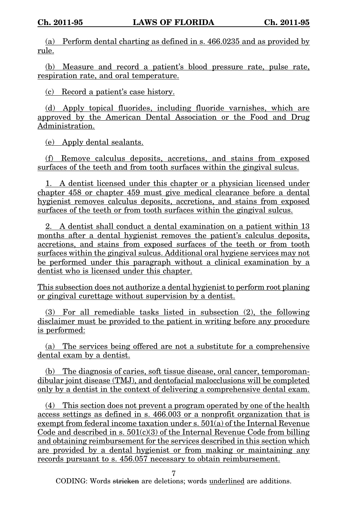(a) Perform dental charting as defined in s. 466.0235 and as provided by rule.

(b) Measure and record a patient's blood pressure rate, pulse rate, respiration rate, and oral temperature.

(c) Record a patient's case history.

(d) Apply topical fluorides, including fluoride varnishes, which are approved by the American Dental Association or the Food and Drug Administration.

(e) Apply dental sealants.

(f) Remove calculus deposits, accretions, and stains from exposed surfaces of the teeth and from tooth surfaces within the gingival sulcus.

1. A dentist licensed under this chapter or a physician licensed under chapter 458 or chapter 459 must give medical clearance before a dental hygienist removes calculus deposits, accretions, and stains from exposed surfaces of the teeth or from tooth surfaces within the gingival sulcus.

2. A dentist shall conduct a dental examination on a patient within 13 months after a dental hygienist removes the patient's calculus deposits, accretions, and stains from exposed surfaces of the teeth or from tooth surfaces within the gingival sulcus. Additional oral hygiene services may not be performed under this paragraph without a clinical examination by a dentist who is licensed under this chapter.

This subsection does not authorize a dental hygienist to perform root planing or gingival curettage without supervision by a dentist.

(3) For all remediable tasks listed in subsection (2), the following disclaimer must be provided to the patient in writing before any procedure is performed:

(a) The services being offered are not a substitute for a comprehensive dental exam by a dentist.

(b) The diagnosis of caries, soft tissue disease, oral cancer, temporomandibular joint disease (TMJ), and dentofacial malocclusions will be completed only by a dentist in the context of delivering a comprehensive dental exam.

(4) This section does not prevent a program operated by one of the health access settings as defined in s. 466.003 or a nonprofit organization that is exempt from federal income taxation under s. 501(a) of the Internal Revenue Code and described in s.  $501(c)(3)$  of the Internal Revenue Code from billing and obtaining reimbursement for the services described in this section which are provided by a dental hygienist or from making or maintaining any records pursuant to s. 456.057 necessary to obtain reimbursement.

7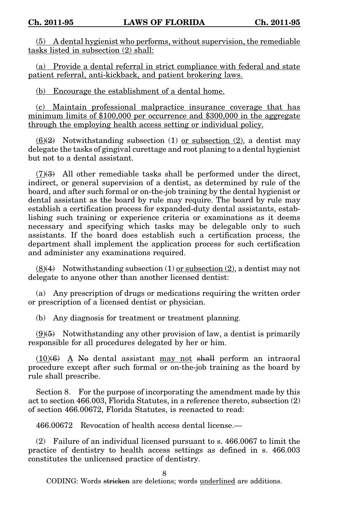(5) A dental hygienist who performs, without supervision, the remediable tasks listed in subsection (2) shall:

(a) Provide a dental referral in strict compliance with federal and state patient referral, anti-kickback, and patient brokering laws.

(b) Encourage the establishment of a dental home.

(c) Maintain professional malpractice insurance coverage that has minimum limits of \$100,000 per occurrence and \$300,000 in the aggregate through the employing health access setting or individual policy.

 $(6)(2)$  Notwithstanding subsection (1) or subsection (2), a dentist may delegate the tasks of gingival curettage and root planing to a dental hygienist but not to a dental assistant.

 $(7)(3)$  All other remediable tasks shall be performed under the direct, indirect, or general supervision of a dentist, as determined by rule of the board, and after such formal or on-the-job training by the dental hygienist or dental assistant as the board by rule may require. The board by rule may establish a certification process for expanded-duty dental assistants, establishing such training or experience criteria or examinations as it deems necessary and specifying which tasks may be delegable only to such assistants. If the board does establish such a certification process, the department shall implement the application process for such certification and administer any examinations required.

 $(8)(4)$  Notwithstanding subsection  $(1)$  or subsection  $(2)$ , a dentist may not delegate to anyone other than another licensed dentist:

(a) Any prescription of drugs or medications requiring the written order or prescription of a licensed dentist or physician.

(b) Any diagnosis for treatment or treatment planning.

 $(9)$ (5) Notwithstanding any other provision of law, a dentist is primarily responsible for all procedures delegated by her or him.

 $(10)(6)$  A No dental assistant may not shall perform an intraoral procedure except after such formal or on-the-job training as the board by rule shall prescribe.

Section 8. For the purpose of incorporating the amendment made by this act to section 466.003, Florida Statutes, in a reference thereto, subsection (2) of section 466.00672, Florida Statutes, is reenacted to read:

466.00672 Revocation of health access dental license.—

(2) Failure of an individual licensed pursuant to s. 466.0067 to limit the practice of dentistry to health access settings as defined in s. 466.003 constitutes the unlicensed practice of dentistry.

8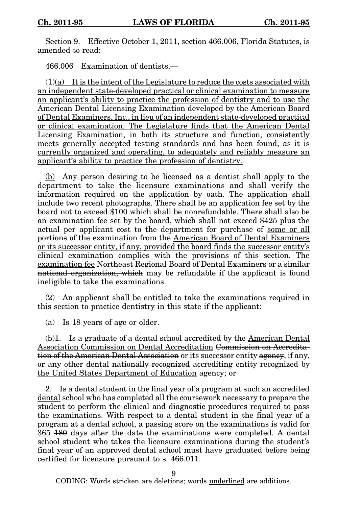Section 9. Effective October 1, 2011, section 466.006, Florida Statutes, is amended to read:

466.006 Examination of dentists.—

 $(1)(a)$  It is the intent of the Legislature to reduce the costs associated with an independent state-developed practical or clinical examination to measure an applicant's ability to practice the profession of dentistry and to use the American Dental Licensing Examination developed by the American Board of Dental Examiners, Inc., in lieu of an independent state-developed practical or clinical examination. The Legislature finds that the American Dental Licensing Examination, in both its structure and function, consistently meets generally accepted testing standards and has been found, as it is currently organized and operating, to adequately and reliably measure an applicant's ability to practice the profession of dentistry.

(b) Any person desiring to be licensed as a dentist shall apply to the department to take the licensure examinations and shall verify the information required on the application by oath. The application shall include two recent photographs. There shall be an application fee set by the board not to exceed \$100 which shall be nonrefundable. There shall also be an examination fee set by the board, which shall not exceed \$425 plus the actual per applicant cost to the department for purchase of some or all portions of the examination from the American Board of Dental Examiners or its successor entity, if any, provided the board finds the successor entity's clinical examination complies with the provisions of this section. The examination fee Northeast Regional Board of Dental Examiners or a similar national organization, which may be refundable if the applicant is found ineligible to take the examinations.

(2) An applicant shall be entitled to take the examinations required in this section to practice dentistry in this state if the applicant:

(a) Is 18 years of age or older.

(b)1. Is a graduate of a dental school accredited by the American Dental Association Commission on Dental Accreditation Commission on Accreditation of the American Dental Association or its successor entity agency, if any, or any other dental nationally recognized accrediting entity recognized by the United States Department of Education agency; or

2. Is a dental student in the final year of a program at such an accredited dental school who has completed all the coursework necessary to prepare the student to perform the clinical and diagnostic procedures required to pass the examinations. With respect to a dental student in the final year of a program at a dental school, a passing score on the examinations is valid for 365 180 days after the date the examinations were completed. A dental school student who takes the licensure examinations during the student's final year of an approved dental school must have graduated before being certified for licensure pursuant to s. 466.011.

9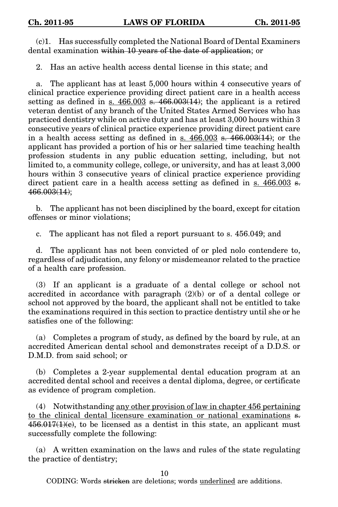(c)1. Has successfully completed the National Board of Dental Examiners dental examination within 10 years of the date of application; or

2. Has an active health access dental license in this state; and

a. The applicant has at least 5,000 hours within 4 consecutive years of clinical practice experience providing direct patient care in a health access setting as defined in s.  $466.003$  s.  $466.003(14)$ ; the applicant is a retired veteran dentist of any branch of the United States Armed Services who has practiced dentistry while on active duty and has at least 3,000 hours within 3 consecutive years of clinical practice experience providing direct patient care in a health access setting as defined in s.  $466.003$  s.  $466.003(14)$ ; or the applicant has provided a portion of his or her salaried time teaching health profession students in any public education setting, including, but not limited to, a community college, college, or university, and has at least 3,000 hours within 3 consecutive years of clinical practice experience providing direct patient care in a health access setting as defined in s. 466.003 s. 466.003(14);

b. The applicant has not been disciplined by the board, except for citation offenses or minor violations;

c. The applicant has not filed a report pursuant to s. 456.049; and

d. The applicant has not been convicted of or pled nolo contendere to, regardless of adjudication, any felony or misdemeanor related to the practice of a health care profession.

(3) If an applicant is a graduate of a dental college or school not accredited in accordance with paragraph (2)(b) or of a dental college or school not approved by the board, the applicant shall not be entitled to take the examinations required in this section to practice dentistry until she or he satisfies one of the following:

(a) Completes a program of study, as defined by the board by rule, at an accredited American dental school and demonstrates receipt of a D.D.S. or D.M.D. from said school; or

(b) Completes a 2-year supplemental dental education program at an accredited dental school and receives a dental diploma, degree, or certificate as evidence of program completion.

(4) Notwithstanding any other provision of law in chapter 456 pertaining to the clinical dental licensure examination or national examinations s.  $456.017(1)(e)$ , to be licensed as a dentist in this state, an applicant must successfully complete the following:

(a) A written examination on the laws and rules of the state regulating the practice of dentistry;

10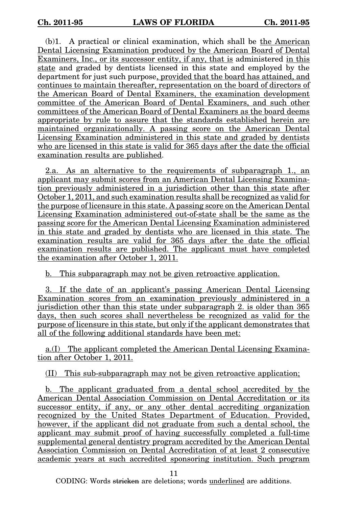(b)1. A practical or clinical examination, which shall be the American Dental Licensing Examination produced by the American Board of Dental Examiners, Inc., or its successor entity, if any, that is administered in this state and graded by dentists licensed in this state and employed by the department for just such purpose, provided that the board has attained, and continues to maintain thereafter, representation on the board of directors of the American Board of Dental Examiners, the examination development committee of the American Board of Dental Examiners, and such other committees of the American Board of Dental Examiners as the board deems appropriate by rule to assure that the standards established herein are maintained organizationally. A passing score on the American Dental Licensing Examination administered in this state and graded by dentists who are licensed in this state is valid for 365 days after the date the official examination results are published.

2.a. As an alternative to the requirements of subparagraph 1., an applicant may submit scores from an American Dental Licensing Examination previously administered in a jurisdiction other than this state after October 1, 2011, and such examination results shall be recognized as valid for the purpose of licensure in this state. A passing score on the American Dental Licensing Examination administered out-of-state shall be the same as the passing score for the American Dental Licensing Examination administered in this state and graded by dentists who are licensed in this state. The examination results are valid for 365 days after the date the official examination results are published. The applicant must have completed the examination after October 1, 2011.

b. This subparagraph may not be given retroactive application.

3. If the date of an applicant's passing American Dental Licensing Examination scores from an examination previously administered in a jurisdiction other than this state under subparagraph 2. is older than 365 days, then such scores shall nevertheless be recognized as valid for the purpose of licensure in this state, but only if the applicant demonstrates that all of the following additional standards have been met:

a.(I) The applicant completed the American Dental Licensing Examination after October 1, 2011.

(II) This sub-subparagraph may not be given retroactive application;

b. The applicant graduated from a dental school accredited by the American Dental Association Commission on Dental Accreditation or its successor entity, if any, or any other dental accrediting organization recognized by the United States Department of Education. Provided, however, if the applicant did not graduate from such a dental school, the applicant may submit proof of having successfully completed a full-time supplemental general dentistry program accredited by the American Dental Association Commission on Dental Accreditation of at least 2 consecutive academic years at such accredited sponsoring institution. Such program

11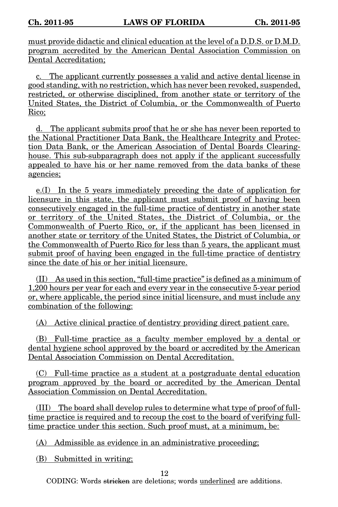must provide didactic and clinical education at the level of a D.D.S. or D.M.D. program accredited by the American Dental Association Commission on Dental Accreditation;

c. The applicant currently possesses a valid and active dental license in good standing, with no restriction, which has never been revoked, suspended, restricted, or otherwise disciplined, from another state or territory of the United States, the District of Columbia, or the Commonwealth of Puerto Rico;

d. The applicant submits proof that he or she has never been reported to the National Practitioner Data Bank, the Healthcare Integrity and Protection Data Bank, or the American Association of Dental Boards Clearinghouse. This sub-subparagraph does not apply if the applicant successfully appealed to have his or her name removed from the data banks of these agencies;

e.(I) In the 5 years immediately preceding the date of application for licensure in this state, the applicant must submit proof of having been consecutively engaged in the full-time practice of dentistry in another state or territory of the United States, the District of Columbia, or the Commonwealth of Puerto Rico, or, if the applicant has been licensed in another state or territory of the United States, the District of Columbia, or the Commonwealth of Puerto Rico for less than 5 years, the applicant must submit proof of having been engaged in the full-time practice of dentistry since the date of his or her initial licensure.

(II) As used in this section, "full-time practice" is defined as a minimum of 1,200 hours per year for each and every year in the consecutive 5-year period or, where applicable, the period since initial licensure, and must include any combination of the following:

(A) Active clinical practice of dentistry providing direct patient care.

(B) Full-time practice as a faculty member employed by a dental or dental hygiene school approved by the board or accredited by the American Dental Association Commission on Dental Accreditation.

(C) Full-time practice as a student at a postgraduate dental education program approved by the board or accredited by the American Dental Association Commission on Dental Accreditation.

(III) The board shall develop rules to determine what type of proof of fulltime practice is required and to recoup the cost to the board of verifying fulltime practice under this section. Such proof must, at a minimum, be:

(A) Admissible as evidence in an administrative proceeding;

(B) Submitted in writing;

12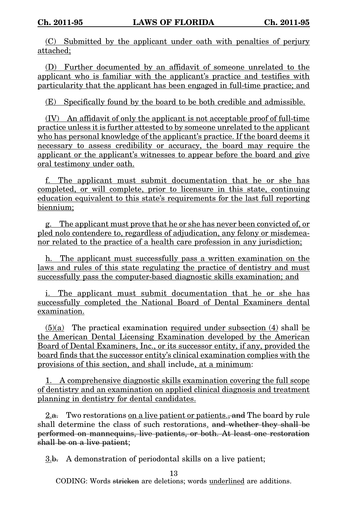(C) Submitted by the applicant under oath with penalties of perjury attached;

(D) Further documented by an affidavit of someone unrelated to the applicant who is familiar with the applicant's practice and testifies with particularity that the applicant has been engaged in full-time practice; and

(E) Specifically found by the board to be both credible and admissible.

(IV) An affidavit of only the applicant is not acceptable proof of full-time practice unless it is further attested to by someone unrelated to the applicant who has personal knowledge of the applicant's practice. If the board deems it necessary to assess credibility or accuracy, the board may require the applicant or the applicant's witnesses to appear before the board and give oral testimony under oath.

f. The applicant must submit documentation that he or she has completed, or will complete, prior to licensure in this state, continuing education equivalent to this state's requirements for the last full reporting biennium;

g. The applicant must prove that he or she has never been convicted of, or pled nolo contendere to, regardless of adjudication, any felony or misdemeanor related to the practice of a health care profession in any jurisdiction;

h. The applicant must successfully pass a written examination on the laws and rules of this state regulating the practice of dentistry and must successfully pass the computer-based diagnostic skills examination; and

i. The applicant must submit documentation that he or she has successfully completed the National Board of Dental Examiners dental examination.

(5)(a) The practical examination required under subsection (4) shall be the American Dental Licensing Examination developed by the American Board of Dental Examiners, Inc., or its successor entity, if any, provided the board finds that the successor entity's clinical examination complies with the provisions of this section, and shall include, at a minimum:

1. A comprehensive diagnostic skills examination covering the full scope of dentistry and an examination on applied clinical diagnosis and treatment planning in dentistry for dental candidates.

 $2.a.$  Two restorations on a live patient or patients., and The board by rule shall determine the class of such restorations. and whether they shall be performed on mannequins, live patients, or both. At least one restoration shall be on a live patient;

3.b. A demonstration of periodontal skills on a live patient;

13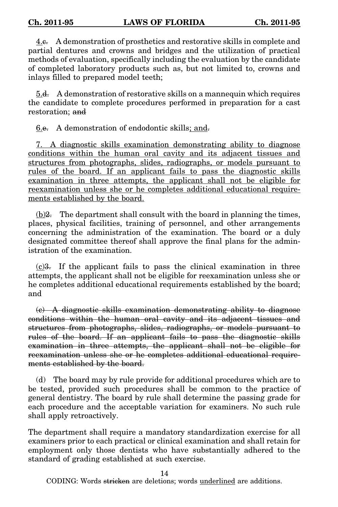4.c. A demonstration of prosthetics and restorative skills in complete and partial dentures and crowns and bridges and the utilization of practical methods of evaluation, specifically including the evaluation by the candidate of completed laboratory products such as, but not limited to, crowns and inlays filled to prepared model teeth;

5.d. A demonstration of restorative skills on a mannequin which requires the candidate to complete procedures performed in preparation for a cast restoration: and

6.e. A demonstration of endodontic skills; and.

7. A diagnostic skills examination demonstrating ability to diagnose conditions within the human oral cavity and its adjacent tissues and structures from photographs, slides, radiographs, or models pursuant to rules of the board. If an applicant fails to pass the diagnostic skills examination in three attempts, the applicant shall not be eligible for reexamination unless she or he completes additional educational requirements established by the board.

 $(b)$ 2. The department shall consult with the board in planning the times, places, physical facilities, training of personnel, and other arrangements concerning the administration of the examination. The board or a duly designated committee thereof shall approve the final plans for the administration of the examination.

(c)3. If the applicant fails to pass the clinical examination in three attempts, the applicant shall not be eligible for reexamination unless she or he completes additional educational requirements established by the board; and

(c) A diagnostic skills examination demonstrating ability to diagnose conditions within the human oral cavity and its adjacent tissues and structures from photographs, slides, radiographs, or models pursuant to rules of the board. If an applicant fails to pass the diagnostic skills examination in three attempts, the applicant shall not be eligible for reexamination unless she or he completes additional educational requirements established by the board.

(d) The board may by rule provide for additional procedures which are to be tested, provided such procedures shall be common to the practice of general dentistry. The board by rule shall determine the passing grade for each procedure and the acceptable variation for examiners. No such rule shall apply retroactively.

The department shall require a mandatory standardization exercise for all examiners prior to each practical or clinical examination and shall retain for employment only those dentists who have substantially adhered to the standard of grading established at such exercise.

14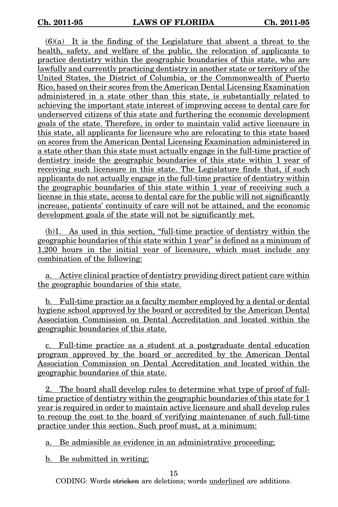$(6)(a)$  It is the finding of the Legislature that absent a threat to the health, safety, and welfare of the public, the relocation of applicants to practice dentistry within the geographic boundaries of this state, who are lawfully and currently practicing dentistry in another state or territory of the United States, the District of Columbia, or the Commonwealth of Puerto Rico, based on their scores from the American Dental Licensing Examination administered in a state other than this state, is substantially related to achieving the important state interest of improving access to dental care for underserved citizens of this state and furthering the economic development goals of the state. Therefore, in order to maintain valid active licensure in this state, all applicants for licensure who are relocating to this state based on scores from the American Dental Licensing Examination administered in a state other than this state must actually engage in the full-time practice of dentistry inside the geographic boundaries of this state within 1 year of receiving such licensure in this state. The Legislature finds that, if such applicants do not actually engage in the full-time practice of dentistry within the geographic boundaries of this state within 1 year of receiving such a license in this state, access to dental care for the public will not significantly increase, patients' continuity of care will not be attained, and the economic development goals of the state will not be significantly met.

(b)1. As used in this section, "full-time practice of dentistry within the geographic boundaries of this state within 1 year" is defined as a minimum of 1,200 hours in the initial year of licensure, which must include any combination of the following:

a. Active clinical practice of dentistry providing direct patient care within the geographic boundaries of this state.

b. Full-time practice as a faculty member employed by a dental or dental hygiene school approved by the board or accredited by the American Dental Association Commission on Dental Accreditation and located within the geographic boundaries of this state.

c. Full-time practice as a student at a postgraduate dental education program approved by the board or accredited by the American Dental Association Commission on Dental Accreditation and located within the geographic boundaries of this state.

2. The board shall develop rules to determine what type of proof of fulltime practice of dentistry within the geographic boundaries of this state for 1 year is required in order to maintain active licensure and shall develop rules to recoup the cost to the board of verifying maintenance of such full-time practice under this section. Such proof must, at a minimum:

a. Be admissible as evidence in an administrative proceeding;

b. Be submitted in writing;

15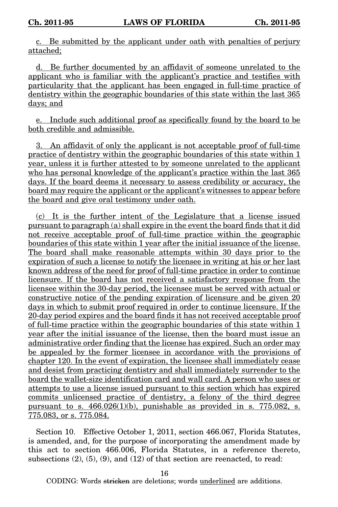c. Be submitted by the applicant under oath with penalties of perjury attached;

d. Be further documented by an affidavit of someone unrelated to the applicant who is familiar with the applicant's practice and testifies with particularity that the applicant has been engaged in full-time practice of dentistry within the geographic boundaries of this state within the last 365 days; and

e. Include such additional proof as specifically found by the board to be both credible and admissible.

3. An affidavit of only the applicant is not acceptable proof of full-time practice of dentistry within the geographic boundaries of this state within 1 year, unless it is further attested to by someone unrelated to the applicant who has personal knowledge of the applicant's practice within the last  $365$ days. If the board deems it necessary to assess credibility or accuracy, the board may require the applicant or the applicant's witnesses to appear before the board and give oral testimony under oath.

(c) It is the further intent of the Legislature that a license issued pursuant to paragraph (a) shall expire in the event the board finds that it did not receive acceptable proof of full-time practice within the geographic boundaries of this state within 1 year after the initial issuance of the license. The board shall make reasonable attempts within 30 days prior to the expiration of such a license to notify the licensee in writing at his or her last known address of the need for proof of full-time practice in order to continue licensure. If the board has not received a satisfactory response from the licensee within the 30-day period, the licensee must be served with actual or constructive notice of the pending expiration of licensure and be given 20 days in which to submit proof required in order to continue licensure. If the 20-day period expires and the board finds it has not received acceptable proof of full-time practice within the geographic boundaries of this state within 1 year after the initial issuance of the license, then the board must issue an administrative order finding that the license has expired. Such an order may be appealed by the former licensee in accordance with the provisions of chapter 120. In the event of expiration, the licensee shall immediately cease and desist from practicing dentistry and shall immediately surrender to the board the wallet-size identification card and wall card. A person who uses or attempts to use a license issued pursuant to this section which has expired commits unlicensed practice of dentistry, a felony of the third degree pursuant to s.  $466.026(1)(b)$ , punishable as provided in s. 775.082, s. 775.083, or s. 775.084.

Section 10. Effective October 1, 2011, section 466.067, Florida Statutes, is amended, and, for the purpose of incorporating the amendment made by this act to section 466.006, Florida Statutes, in a reference thereto, subsections  $(2)$ ,  $(5)$ ,  $(9)$ , and  $(12)$  of that section are reenacted, to read:

16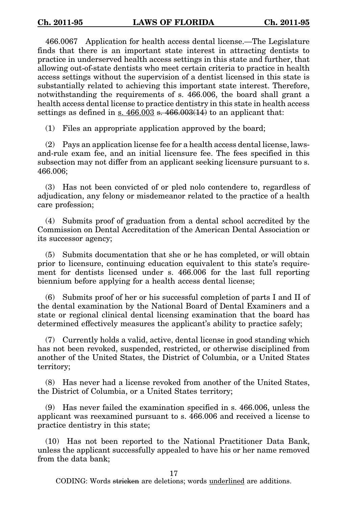466.0067 Application for health access dental license.—The Legislature finds that there is an important state interest in attracting dentists to practice in underserved health access settings in this state and further, that allowing out-of-state dentists who meet certain criteria to practice in health access settings without the supervision of a dentist licensed in this state is substantially related to achieving this important state interest. Therefore, notwithstanding the requirements of s. 466.006, the board shall grant a health access dental license to practice dentistry in this state in health access settings as defined in s.  $466.003$  s.  $466.003(14)$  to an applicant that:

(1) Files an appropriate application approved by the board;

(2) Pays an application license fee for a health access dental license, lawsand-rule exam fee, and an initial licensure fee. The fees specified in this subsection may not differ from an applicant seeking licensure pursuant to s. 466.006;

(3) Has not been convicted of or pled nolo contendere to, regardless of adjudication, any felony or misdemeanor related to the practice of a health care profession;

(4) Submits proof of graduation from a dental school accredited by the Commission on Dental Accreditation of the American Dental Association or its successor agency;

(5) Submits documentation that she or he has completed, or will obtain prior to licensure, continuing education equivalent to this state's requirement for dentists licensed under s. 466.006 for the last full reporting biennium before applying for a health access dental license;

(6) Submits proof of her or his successful completion of parts I and II of the dental examination by the National Board of Dental Examiners and a state or regional clinical dental licensing examination that the board has determined effectively measures the applicant's ability to practice safely;

(7) Currently holds a valid, active, dental license in good standing which has not been revoked, suspended, restricted, or otherwise disciplined from another of the United States, the District of Columbia, or a United States territory;

(8) Has never had a license revoked from another of the United States, the District of Columbia, or a United States territory;

(9) Has never failed the examination specified in s. 466.006, unless the applicant was reexamined pursuant to s. 466.006 and received a license to practice dentistry in this state;

(10) Has not been reported to the National Practitioner Data Bank, unless the applicant successfully appealed to have his or her name removed from the data bank;

17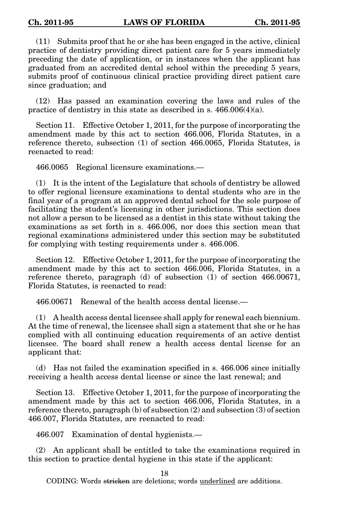(11) Submits proof that he or she has been engaged in the active, clinical practice of dentistry providing direct patient care for 5 years immediately preceding the date of application, or in instances when the applicant has graduated from an accredited dental school within the preceding 5 years, submits proof of continuous clinical practice providing direct patient care since graduation; and

(12) Has passed an examination covering the laws and rules of the practice of dentistry in this state as described in s. 466.006(4)(a).

Section 11. Effective October 1, 2011, for the purpose of incorporating the amendment made by this act to section 466.006, Florida Statutes, in a reference thereto, subsection (1) of section 466.0065, Florida Statutes, is reenacted to read:

466.0065 Regional licensure examinations.—

(1) It is the intent of the Legislature that schools of dentistry be allowed to offer regional licensure examinations to dental students who are in the final year of a program at an approved dental school for the sole purpose of facilitating the student's licensing in other jurisdictions. This section does not allow a person to be licensed as a dentist in this state without taking the examinations as set forth in s. 466.006, nor does this section mean that regional examinations administered under this section may be substituted for complying with testing requirements under s. 466.006.

Section 12. Effective October 1, 2011, for the purpose of incorporating the amendment made by this act to section 466.006, Florida Statutes, in a reference thereto, paragraph (d) of subsection (1) of section 466.00671, Florida Statutes, is reenacted to read:

466.00671 Renewal of the health access dental license.—

(1) A health access dental licensee shall apply for renewal each biennium. At the time of renewal, the licensee shall sign a statement that she or he has complied with all continuing education requirements of an active dentist licensee. The board shall renew a health access dental license for an applicant that:

(d) Has not failed the examination specified in s. 466.006 since initially receiving a health access dental license or since the last renewal; and

Section 13. Effective October 1, 2011, for the purpose of incorporating the amendment made by this act to section 466.006, Florida Statutes, in a reference thereto, paragraph (b) of subsection (2) and subsection (3) of section 466.007, Florida Statutes, are reenacted to read:

466.007 Examination of dental hygienists.—

(2) An applicant shall be entitled to take the examinations required in this section to practice dental hygiene in this state if the applicant:

18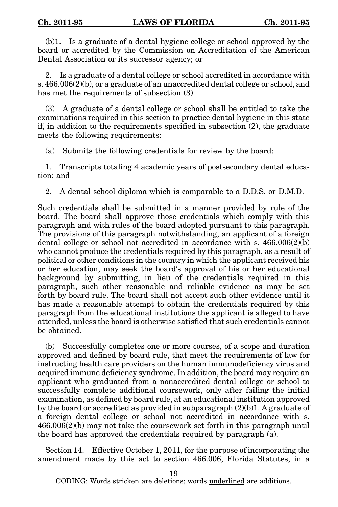(b)1. Is a graduate of a dental hygiene college or school approved by the board or accredited by the Commission on Accreditation of the American Dental Association or its successor agency; or

2. Is a graduate of a dental college or school accredited in accordance with s. 466.006(2)(b), or a graduate of an unaccredited dental college or school, and has met the requirements of subsection (3).

(3) A graduate of a dental college or school shall be entitled to take the examinations required in this section to practice dental hygiene in this state if, in addition to the requirements specified in subsection (2), the graduate meets the following requirements:

(a) Submits the following credentials for review by the board:

1. Transcripts totaling 4 academic years of postsecondary dental education; and

2. A dental school diploma which is comparable to a D.D.S. or D.M.D.

Such credentials shall be submitted in a manner provided by rule of the board. The board shall approve those credentials which comply with this paragraph and with rules of the board adopted pursuant to this paragraph. The provisions of this paragraph notwithstanding, an applicant of a foreign dental college or school not accredited in accordance with s.  $466.006(2)(b)$ who cannot produce the credentials required by this paragraph, as a result of political or other conditions in the country in which the applicant received his or her education, may seek the board's approval of his or her educational background by submitting, in lieu of the credentials required in this paragraph, such other reasonable and reliable evidence as may be set forth by board rule. The board shall not accept such other evidence until it has made a reasonable attempt to obtain the credentials required by this paragraph from the educational institutions the applicant is alleged to have attended, unless the board is otherwise satisfied that such credentials cannot be obtained.

(b) Successfully completes one or more courses, of a scope and duration approved and defined by board rule, that meet the requirements of law for instructing health care providers on the human immunodeficiency virus and acquired immune deficiency syndrome. In addition, the board may require an applicant who graduated from a nonaccredited dental college or school to successfully complete additional coursework, only after failing the initial examination, as defined by board rule, at an educational institution approved by the board or accredited as provided in subparagraph  $(2)(b)$ 1. A graduate of a foreign dental college or school not accredited in accordance with s. 466.006(2)(b) may not take the coursework set forth in this paragraph until the board has approved the credentials required by paragraph (a).

Section 14. Effective October 1, 2011, for the purpose of incorporating the amendment made by this act to section 466.006, Florida Statutes, in a

19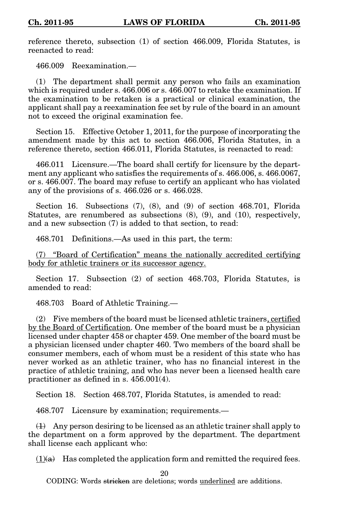reference thereto, subsection (1) of section 466.009, Florida Statutes, is reenacted to read:

466.009 Reexamination.—

(1) The department shall permit any person who fails an examination which is required under s. 466.006 or s. 466.007 to retake the examination. If the examination to be retaken is a practical or clinical examination, the applicant shall pay a reexamination fee set by rule of the board in an amount not to exceed the original examination fee.

Section 15. Effective October 1, 2011, for the purpose of incorporating the amendment made by this act to section 466.006, Florida Statutes, in a reference thereto, section 466.011, Florida Statutes, is reenacted to read:

466.011 Licensure.—The board shall certify for licensure by the department any applicant who satisfies the requirements of s. 466.006, s. 466.0067, or s. 466.007. The board may refuse to certify an applicant who has violated any of the provisions of s. 466.026 or s. 466.028.

Section 16. Subsections (7), (8), and (9) of section 468.701, Florida Statutes, are renumbered as subsections (8), (9), and (10), respectively, and a new subsection (7) is added to that section, to read:

468.701 Definitions.—As used in this part, the term:

(7) "Board of Certification" means the nationally accredited certifying body for athletic trainers or its successor agency.

Section 17. Subsection (2) of section 468.703, Florida Statutes, is amended to read:

468.703 Board of Athletic Training.—

(2) Five members of the board must be licensed athletic trainers, certified by the Board of Certification. One member of the board must be a physician licensed under chapter 458 or chapter 459. One member of the board must be a physician licensed under chapter 460. Two members of the board shall be consumer members, each of whom must be a resident of this state who has never worked as an athletic trainer, who has no financial interest in the practice of athletic training, and who has never been a licensed health care practitioner as defined in s. 456.001(4).

Section 18. Section 468.707, Florida Statutes, is amended to read:

468.707 Licensure by examination; requirements.—

 $(1)$  Any person desiring to be licensed as an athletic trainer shall apply to the department on a form approved by the department. The department shall license each applicant who:

 $(1)$ (a) Has completed the application form and remitted the required fees.

20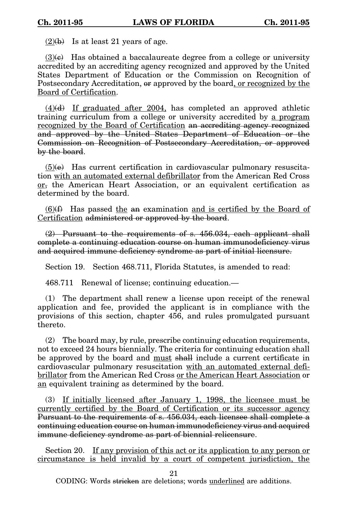$(2)(b)$  Is at least 21 years of age.

 $(3)(e)$  Has obtained a baccalaureate degree from a college or university accredited by an accrediting agency recognized and approved by the United States Department of Education or the Commission on Recognition of Postsecondary Accreditation, or approved by the board, or recognized by the Board of Certification.

 $(4)(d)$  If graduated after 2004, has completed an approved athletic training curriculum from a college or university accredited by a program recognized by the Board of Certification an accrediting agency recognized and approved by the United States Department of Education or the Commission on Recognition of Postsecondary Accreditation, or approved by the board.

 $(5)(e)$  Has current certification in cardiovascular pulmonary resuscitation with an automated external defibrillator from the American Red Cross  $or$ , the American Heart Association, or an equivalent certification as</u> determined by the board.

 $(6)$ (f) Has passed the an examination and is certified by the Board of Certification administered or approved by the board.

 $(2)$  Pursuant to the requirements of s. 456.034, each applicant shall complete a continuing education course on human immunodeficiency virus and acquired immune deficiency syndrome as part of initial licensure.

Section 19. Section 468.711, Florida Statutes, is amended to read:

468.711 Renewal of license; continuing education.—

(1) The department shall renew a license upon receipt of the renewal application and fee, provided the applicant is in compliance with the provisions of this section, chapter 456, and rules promulgated pursuant thereto.

(2) The board may, by rule, prescribe continuing education requirements, not to exceed 24 hours biennially. The criteria for continuing education shall be approved by the board and must shall include a current certificate in cardiovascular pulmonary resuscitation with an automated external defibrillator from the American Red Cross or the American Heart Association or an equivalent training as determined by the board.

(3) If initially licensed after January 1, 1998, the licensee must be currently certified by the Board of Certification or its successor agency Pursuant to the requirements of s. 456.034, each licensee shall complete a continuing education course on human immunodeficiency virus and acquired immune deficiency syndrome as part of biennial relicensure.

Section 20. If any provision of this act or its application to any person or circumstance is held invalid by a court of competent jurisdiction, the

21